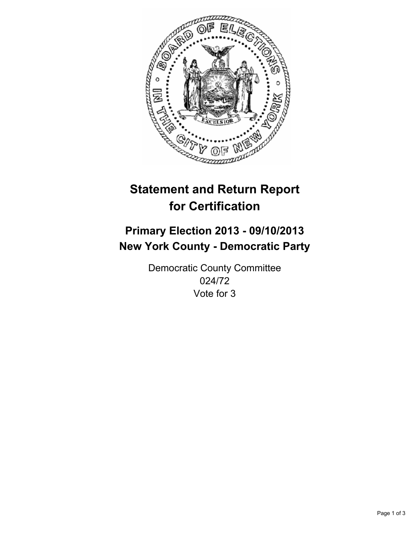

# **Statement and Return Report for Certification**

## **Primary Election 2013 - 09/10/2013 New York County - Democratic Party**

Democratic County Committee 024/72 Vote for 3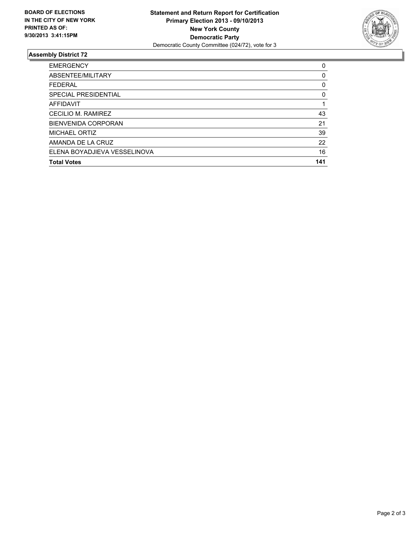

### **Assembly District 72**

| <b>EMERGENCY</b>             | 0   |
|------------------------------|-----|
| ABSENTEE/MILITARY            | 0   |
| <b>FEDERAL</b>               | 0   |
| SPECIAL PRESIDENTIAL         | 0   |
| AFFIDAVIT                    |     |
| CECILIO M. RAMIREZ           | 43  |
| <b>BIENVENIDA CORPORAN</b>   | 21  |
| <b>MICHAEL ORTIZ</b>         | 39  |
| AMANDA DE LA CRUZ            | 22  |
| ELENA BOYADJIEVA VESSELINOVA | 16  |
| <b>Total Votes</b>           | 141 |